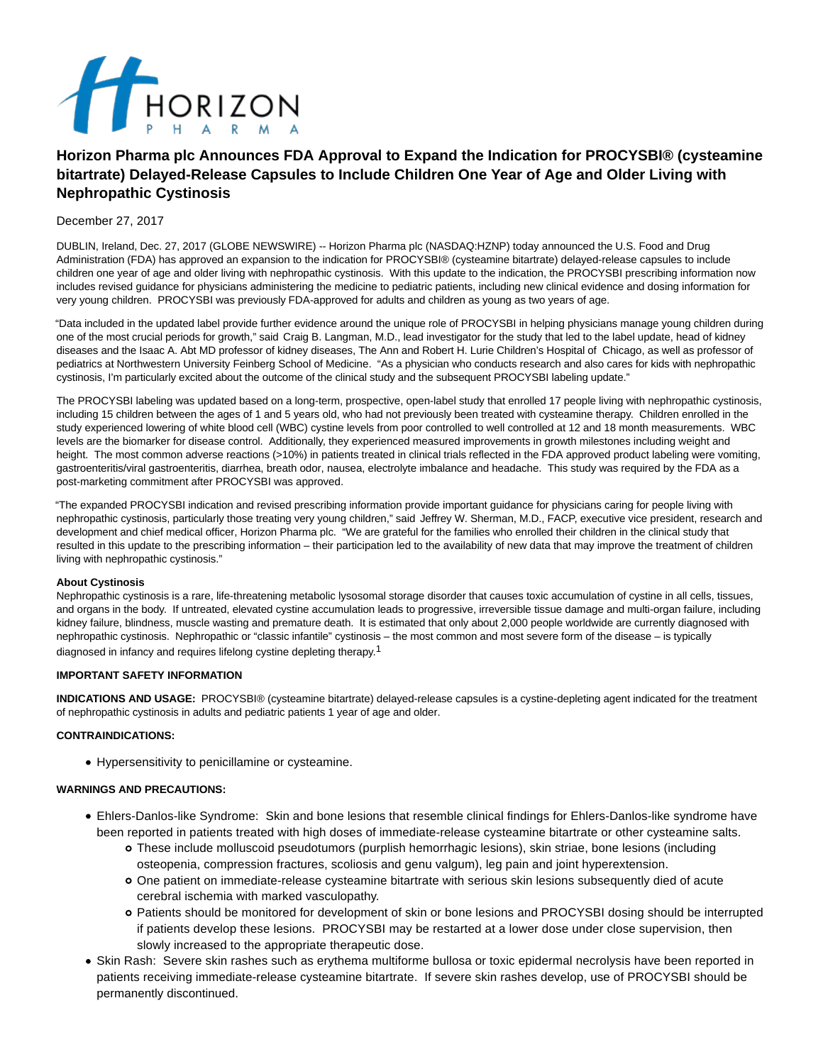

# **Horizon Pharma plc Announces FDA Approval to Expand the Indication for PROCYSBI® (cysteamine bitartrate) Delayed-Release Capsules to Include Children One Year of Age and Older Living with Nephropathic Cystinosis**

## December 27, 2017

DUBLIN, Ireland, Dec. 27, 2017 (GLOBE NEWSWIRE) -- Horizon Pharma plc (NASDAQ:HZNP) today announced the U.S. Food and Drug Administration (FDA) has approved an expansion to the indication for PROCYSBI® (cysteamine bitartrate) delayed-release capsules to include children one year of age and older living with nephropathic cystinosis. With this update to the indication, the PROCYSBI prescribing information now includes revised guidance for physicians administering the medicine to pediatric patients, including new clinical evidence and dosing information for very young children. PROCYSBI was previously FDA-approved for adults and children as young as two years of age.

"Data included in the updated label provide further evidence around the unique role of PROCYSBI in helping physicians manage young children during one of the most crucial periods for growth," said Craig B. Langman, M.D., lead investigator for the study that led to the label update, head of kidney diseases and the Isaac A. Abt MD professor of kidney diseases, The Ann and Robert H. Lurie Children's Hospital of Chicago, as well as professor of pediatrics at Northwestern University Feinberg School of Medicine. "As a physician who conducts research and also cares for kids with nephropathic cystinosis, I'm particularly excited about the outcome of the clinical study and the subsequent PROCYSBI labeling update."

The PROCYSBI labeling was updated based on a long-term, prospective, open-label study that enrolled 17 people living with nephropathic cystinosis, including 15 children between the ages of 1 and 5 years old, who had not previously been treated with cysteamine therapy. Children enrolled in the study experienced lowering of white blood cell (WBC) cystine levels from poor controlled to well controlled at 12 and 18 month measurements. WBC levels are the biomarker for disease control. Additionally, they experienced measured improvements in growth milestones including weight and height. The most common adverse reactions (>10%) in patients treated in clinical trials reflected in the FDA approved product labeling were vomiting, gastroenteritis/viral gastroenteritis, diarrhea, breath odor, nausea, electrolyte imbalance and headache. This study was required by the FDA as a post-marketing commitment after PROCYSBI was approved.

"The expanded PROCYSBI indication and revised prescribing information provide important guidance for physicians caring for people living with nephropathic cystinosis, particularly those treating very young children," said Jeffrey W. Sherman, M.D., FACP, executive vice president, research and development and chief medical officer, Horizon Pharma plc. "We are grateful for the families who enrolled their children in the clinical study that resulted in this update to the prescribing information – their participation led to the availability of new data that may improve the treatment of children living with nephropathic cystinosis."

## **About Cystinosis**

Nephropathic cystinosis is a rare, life-threatening metabolic lysosomal storage disorder that causes toxic accumulation of cystine in all cells, tissues, and organs in the body. If untreated, elevated cystine accumulation leads to progressive, irreversible tissue damage and multi-organ failure, including kidney failure, blindness, muscle wasting and premature death. It is estimated that only about 2,000 people worldwide are currently diagnosed with nephropathic cystinosis. Nephropathic or "classic infantile" cystinosis – the most common and most severe form of the disease – is typically diagnosed in infancy and requires lifelong cystine depleting therapy.1

## **IMPORTANT SAFETY INFORMATION**

**INDICATIONS AND USAGE:** PROCYSBI® (cysteamine bitartrate) delayed-release capsules is a cystine-depleting agent indicated for the treatment of nephropathic cystinosis in adults and pediatric patients 1 year of age and older.

## **CONTRAINDICATIONS:**

Hypersensitivity to penicillamine or cysteamine.

## **WARNINGS AND PRECAUTIONS:**

- Ehlers-Danlos-like Syndrome: Skin and bone lesions that resemble clinical findings for Ehlers-Danlos-like syndrome have been reported in patients treated with high doses of immediate-release cysteamine bitartrate or other cysteamine salts.
	- These include molluscoid pseudotumors (purplish hemorrhagic lesions), skin striae, bone lesions (including osteopenia, compression fractures, scoliosis and genu valgum), leg pain and joint hyperextension.
	- One patient on immediate-release cysteamine bitartrate with serious skin lesions subsequently died of acute cerebral ischemia with marked vasculopathy.
	- Patients should be monitored for development of skin or bone lesions and PROCYSBI dosing should be interrupted if patients develop these lesions. PROCYSBI may be restarted at a lower dose under close supervision, then slowly increased to the appropriate therapeutic dose.
- Skin Rash: Severe skin rashes such as erythema multiforme bullosa or toxic epidermal necrolysis have been reported in patients receiving immediate-release cysteamine bitartrate. If severe skin rashes develop, use of PROCYSBI should be permanently discontinued.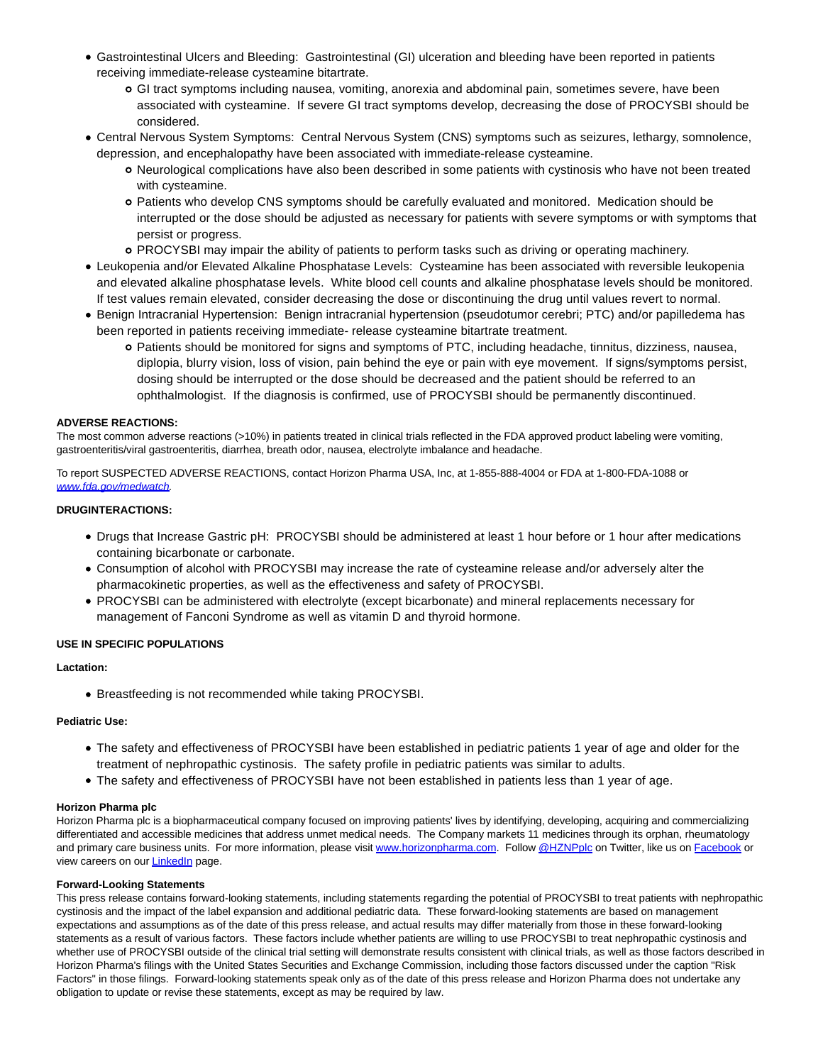- Gastrointestinal Ulcers and Bleeding: Gastrointestinal (GI) ulceration and bleeding have been reported in patients receiving immediate-release cysteamine bitartrate.
	- GI tract symptoms including nausea, vomiting, anorexia and abdominal pain, sometimes severe, have been associated with cysteamine. If severe GI tract symptoms develop, decreasing the dose of PROCYSBI should be considered.
- Central Nervous System Symptoms: Central Nervous System (CNS) symptoms such as seizures, lethargy, somnolence, depression, and encephalopathy have been associated with immediate-release cysteamine.
	- Neurological complications have also been described in some patients with cystinosis who have not been treated with cysteamine.
	- Patients who develop CNS symptoms should be carefully evaluated and monitored. Medication should be interrupted or the dose should be adjusted as necessary for patients with severe symptoms or with symptoms that persist or progress.
	- PROCYSBI may impair the ability of patients to perform tasks such as driving or operating machinery.
- Leukopenia and/or Elevated Alkaline Phosphatase Levels: Cysteamine has been associated with reversible leukopenia and elevated alkaline phosphatase levels. White blood cell counts and alkaline phosphatase levels should be monitored. If test values remain elevated, consider decreasing the dose or discontinuing the drug until values revert to normal.
- Benign Intracranial Hypertension: Benign intracranial hypertension (pseudotumor cerebri; PTC) and/or papilledema has been reported in patients receiving immediate- release cysteamine bitartrate treatment.
	- Patients should be monitored for signs and symptoms of PTC, including headache, tinnitus, dizziness, nausea, diplopia, blurry vision, loss of vision, pain behind the eye or pain with eye movement. If signs/symptoms persist, dosing should be interrupted or the dose should be decreased and the patient should be referred to an ophthalmologist. If the diagnosis is confirmed, use of PROCYSBI should be permanently discontinued.

# **ADVERSE REACTIONS:**

The most common adverse reactions (>10%) in patients treated in clinical trials reflected in the FDA approved product labeling were vomiting, gastroenteritis/viral gastroenteritis, diarrhea, breath odor, nausea, electrolyte imbalance and headache.

To report SUSPECTED ADVERSE REACTIONS, contact Horizon Pharma USA, Inc, at 1-855-888-4004 or FDA at 1-800-FDA-1088 or [www.fda.gov/medwatch.](http://www.fda.gov/medwatch)

## **DRUGINTERACTIONS:**

- Drugs that Increase Gastric pH: PROCYSBI should be administered at least 1 hour before or 1 hour after medications containing bicarbonate or carbonate.
- Consumption of alcohol with PROCYSBI may increase the rate of cysteamine release and/or adversely alter the pharmacokinetic properties, as well as the effectiveness and safety of PROCYSBI.
- PROCYSBI can be administered with electrolyte (except bicarbonate) and mineral replacements necessary for management of Fanconi Syndrome as well as vitamin D and thyroid hormone.

# **USE IN SPECIFIC POPULATIONS**

## **Lactation:**

Breastfeeding is not recommended while taking PROCYSBI.

## **Pediatric Use:**

- The safety and effectiveness of PROCYSBI have been established in pediatric patients 1 year of age and older for the treatment of nephropathic cystinosis. The safety profile in pediatric patients was similar to adults.
- The safety and effectiveness of PROCYSBI have not been established in patients less than 1 year of age.

## **Horizon Pharma plc**

Horizon Pharma plc is a biopharmaceutical company focused on improving patients' lives by identifying, developing, acquiring and commercializing differentiated and accessible medicines that address unmet medical needs. The Company markets 11 medicines through its orphan, rheumatology and primary care business units. For more information, please visit [www.horizonpharma.com.](https://www.globenewswire.com/Tracker?data=O_v1OeMQNFBYw-_Yfi3wjCpUjFL6QDpZZbHNBUA3T4UQzGUNJXyPISoS2ZptRcIq70XgT2g5TyfC8CLB1v8UMF6fo6hYFC6XfBnC2h01_ND8lCVWooQSmCWKbRgiPbnN-P-kQrt8-5SFprpe8OO59YYgQO97IZWH_NgrN50tsyxzOWWTv3W5ompdYOW1suivbrbTZKYviVRybbMSVjwReAghwvZuzJ_oCZQwYW2AMWj19ux_5V7PoJ8oOhIpSGn9c53jSLGN0pWwBDGh9Qx_uA==) Follow [@HZNPplc o](https://www.globenewswire.com/Tracker?data=RrRQFvNECgkeT6gkTCkEW74XUoC4KDnlL3akWVScH-CY3ydKvyXrYQKjP5x5NstkjLN_dsQvA-LM7mIThTYssttJbCAjSLBYFc6zt7528pf3O9J06sN8xdyrPj95urckcPceM5S4AMrVZn5WkzJtpKGOBOtoJ-7u9NeXjHi3PK2lZHubCsFVnou-qKZ9SLvMUoJrNq5tMFYorzhM7xc-XPrARFA7DP6NBMEsbI1tQ7ntbTXr2J1rqqP5FWKlnfPFEaZRqIwpwfjguljul0vPeXa29W6tuX3bH3VMMwNEPlBIzAvt8vsSkoCVBa5zEUKk9irmaPS4ugDdNGR-bdRMII7U4HYhNUVPwygED2PPk6O5N0cxo2Iz-zgmci-H4CVMYranbcg6eRklXvdUO1BmLXVg6XXC4XwpWv3sV4Dn6UCWUc_fWhZBRmfuG0fwYdV7yLS0U_6tvWnrDjSXxD2-ho-LULH7S90Vrs0_ap-KyLH0CN6khwwHOxdAMeso11JYCm-ucW8_KiQh-E-GCjZVEVHpfNLxVAEcdyWj7F8OOk3_QbzPbTQN6yyreTPI0FuEckgRFP992thRonFAjkipkc6wj0eCHThbYHDVBjkdAngF5ZIZfgZJVDQToRl-RAjDZ_mhFgTD8gs3SJqei0G-QPV8ebvTa6vUpUIab7_azxm2O3cwqu9j16bFoixklaepxxp9GPmSH-SVBITrfk2rv-WBPkPs_fx12aeYlLvBZ8s3OzCU8qt3Pd5v8MOlZiOIlKOqfsYwhiv2Fx4of2uszDnRSPeyxMdgveF4vqqGGleFKqHJn63sZdPZ-AthEoFg1LN3ryO7SyP1n1aocVSTlzWKrPsnXVznEfDOUxuQXLzw2kEjHWQ-mxX0_jbw8ielO172x05a20sSJWRZMdn5Dg==)n Twitter, like us on [Facebook o](https://www.globenewswire.com/Tracker?data=7Ub_2MD4ASz6Doc-1xZRFxdH6oysEOXaCwz773QcSOszd-9xoOtFHT5YXlr5RqXhMVVHIAYVkJTiXSIA_Gko0oh21TwiNjLWVHnfN_cTLgY=)r view careers on our **LinkedIn** page.

## **Forward-Looking Statements**

This press release contains forward-looking statements, including statements regarding the potential of PROCYSBI to treat patients with nephropathic cystinosis and the impact of the label expansion and additional pediatric data. These forward-looking statements are based on management expectations and assumptions as of the date of this press release, and actual results may differ materially from those in these forward-looking statements as a result of various factors. These factors include whether patients are willing to use PROCYSBI to treat nephropathic cystinosis and whether use of PROCYSBI outside of the clinical trial setting will demonstrate results consistent with clinical trials, as well as those factors described in Horizon Pharma's filings with the United States Securities and Exchange Commission, including those factors discussed under the caption "Risk Factors" in those filings. Forward-looking statements speak only as of the date of this press release and Horizon Pharma does not undertake any obligation to update or revise these statements, except as may be required by law.